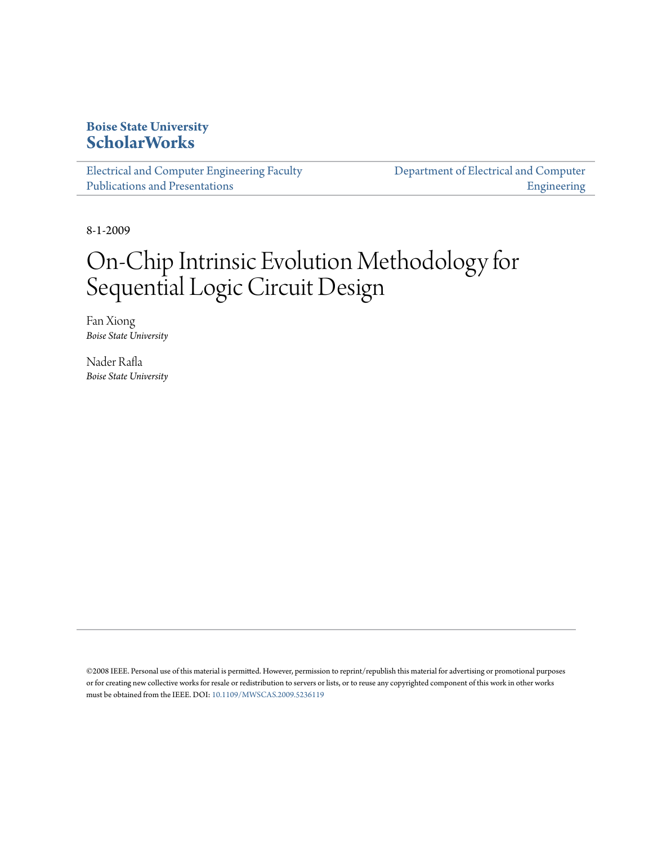# **Boise State University [ScholarWorks](https://scholarworks.boisestate.edu)**

[Electrical and Computer Engineering Faculty](https://scholarworks.boisestate.edu/electrical_facpubs) [Publications and Presentations](https://scholarworks.boisestate.edu/electrical_facpubs)

[Department of Electrical and Computer](https://scholarworks.boisestate.edu/electrical) [Engineering](https://scholarworks.boisestate.edu/electrical)

8-1-2009

# On-Chip Intrinsic Evolution Methodology for Sequential Logic Circuit Design

Fan Xiong *Boise State University*

Nader Rafla *Boise State University*

©2008 IEEE. Personal use of this material is permitted. However, permission to reprint/republish this material for advertising or promotional purposes or for creating new collective works for resale or redistribution to servers or lists, or to reuse any copyrighted component of this work in other works must be obtained from the IEEE. DOI: [10.1109/MWSCAS.2009.5236119](http://dx.doi.org/10.1109/MWSCAS.2009.5236119)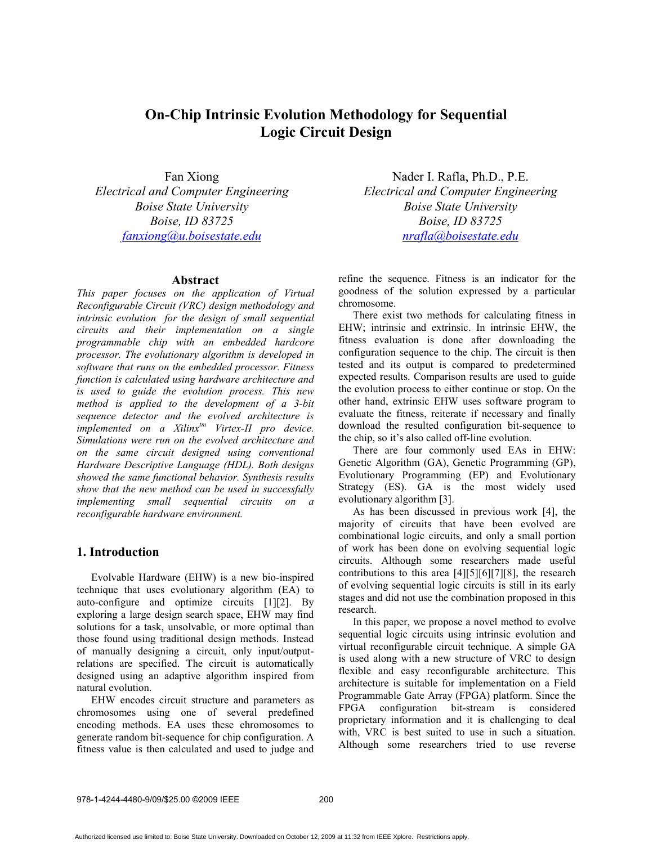## **On-Chip Intrinsic Evolution Methodology for Sequential Logic Circuit Design**

Fan Xiong *Electrical and Computer Engineering Boise State University Boise, ID 83725 fanxiong@u.boisestate.edu*

#### **Abstract**

*This paper focuses on the application of Virtual Reconfigurable Circuit (VRC) design methodology and intrinsic evolution for the design of small sequential circuits and their implementation on a single programmable chip with an embedded hardcore processor. The evolutionary algorithm is developed in software that runs on the embedded processor. Fitness function is calculated using hardware architecture and is used to guide the evolution process. This new method is applied to the development of a 3-bit sequence detector and the evolved architecture is implemented on a Xilinxtm Virtex-II pro device. Simulations were run on the evolved architecture and on the same circuit designed using conventional Hardware Descriptive Language (HDL). Both designs showed the same functional behavior. Synthesis results show that the new method can be used in successfully implementing small sequential circuits on a reconfigurable hardware environment.* 

#### **1. Introduction**

Evolvable Hardware (EHW) is a new bio-inspired technique that uses evolutionary algorithm (EA) to auto-configure and optimize circuits [1][2]. By exploring a large design search space, EHW may find solutions for a task, unsolvable, or more optimal than those found using traditional design methods. Instead of manually designing a circuit, only input/outputrelations are specified. The circuit is automatically designed using an adaptive algorithm inspired from natural evolution.

EHW encodes circuit structure and parameters as chromosomes using one of several predefined encoding methods. EA uses these chromosomes to generate random bit-sequence for chip configuration. A fitness value is then calculated and used to judge and

Nader I. Rafla, Ph.D., P.E. *Electrical and Computer Engineering Boise State University Boise, ID 83725 nrafla@boisestate.edu*

refine the sequence. Fitness is an indicator for the goodness of the solution expressed by a particular chromosome.

There exist two methods for calculating fitness in EHW; intrinsic and extrinsic. In intrinsic EHW, the fitness evaluation is done after downloading the configuration sequence to the chip. The circuit is then tested and its output is compared to predetermined expected results. Comparison results are used to guide the evolution process to either continue or stop. On the other hand, extrinsic EHW uses software program to evaluate the fitness, reiterate if necessary and finally download the resulted configuration bit-sequence to the chip, so it's also called off-line evolution.

There are four commonly used EAs in EHW: Genetic Algorithm (GA), Genetic Programming (GP), Evolutionary Programming (EP) and Evolutionary Strategy (ES). GA is the most widely used evolutionary algorithm [3].

As has been discussed in previous work [4], the majority of circuits that have been evolved are combinational logic circuits, and only a small portion of work has been done on evolving sequential logic circuits. Although some researchers made useful contributions to this area [4][5][6][7][8], the research of evolving sequential logic circuits is still in its early stages and did not use the combination proposed in this research.

In this paper, we propose a novel method to evolve sequential logic circuits using intrinsic evolution and virtual reconfigurable circuit technique. A simple GA is used along with a new structure of VRC to design flexible and easy reconfigurable architecture. This architecture is suitable for implementation on a Field Programmable Gate Array (FPGA) platform. Since the FPGA configuration bit-stream is considered proprietary information and it is challenging to deal with, VRC is best suited to use in such a situation. Although some researchers tried to use reverse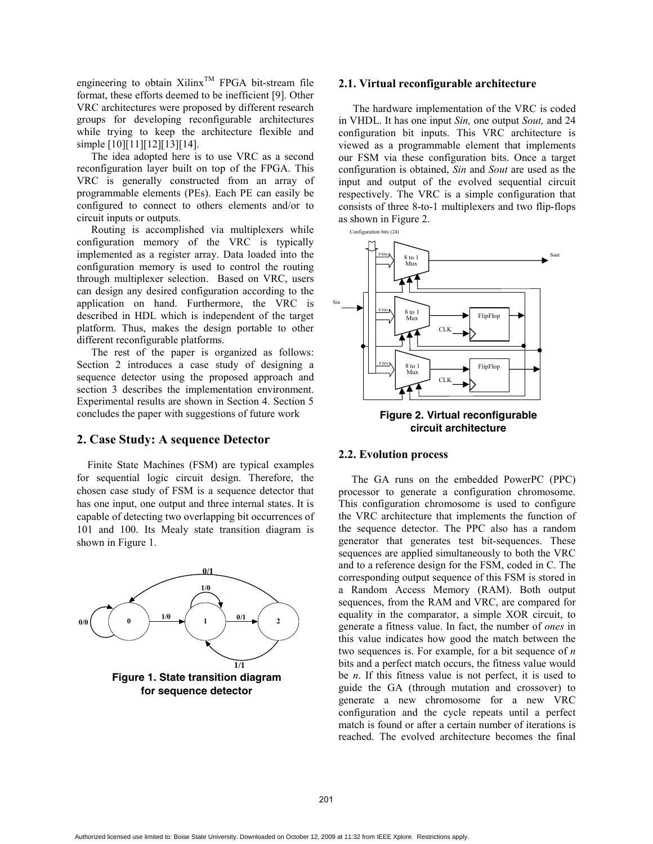engineering to obtain Xilinx<sup>TM</sup> FPGA bit-stream file format, these efforts deemed to be inefficient [9]. Other VRC architectures were proposed by different research groups for developing reconfigurable architectures while trying to keep the architecture flexible and simple [10][11][12][13][14].

The idea adopted here is to use VRC as a second reconfiguration layer built on top of the FPGA. This VRC is generally constructed from an array of programmable elements (PEs). Each PE can easily be configured to connect to others elements and/or to circuit inputs or outputs.

Routing is accomplished via multiplexers while configuration memory of the VRC is typically implemented as a register array. Data loaded into the configuration memory is used to control the routing through multiplexer selection. Based on VRC, users can design any desired configuration according to the application on hand. Furthermore, the VRC is described in HDL which is independent of the target platform. Thus, makes the design portable to other different reconfigurable platforms.

The rest of the paper is organized as follows: Section 2 introduces a case study of designing a sequence detector using the proposed approach and section 3 describes the implementation environment. Experimental results are shown in Section 4. Section 5 concludes the paper with suggestions of future work

#### **2. Case Study: A sequence Detector**

Finite State Machines (FSM) are typical examples for sequential logic circuit design. Therefore, the chosen case study of FSM is a sequence detector that has one input, one output and three internal states. It is capable of detecting two overlapping bit occurrences of 101 and 100. Its Mealy state transition diagram is shown in Figure 1.



#### **2.1. Virtual reconfigurable architecture**

 The hardware implementation of the VRC is coded in VHDL. It has one input *Sin,* one output *Sout,* and 24 configuration bit inputs. This VRC architecture is viewed as a programmable element that implements our FSM via these configuration bits. Once a target configuration is obtained, *Sin* and *Sout* are used as the input and output of the evolved sequential circuit respectively. The VRC is a simple configuration that consists of three 8-to-1 multiplexers and two flip-flops as shown in Figure 2.



**Figure 2. Virtual reconfigurable circuit architecture** 

#### **2.2. Evolution process**

The GA runs on the embedded PowerPC (PPC) processor to generate a configuration chromosome. This configuration chromosome is used to configure the VRC architecture that implements the function of the sequence detector. The PPC also has a random generator that generates test bit-sequences. These sequences are applied simultaneously to both the VRC and to a reference design for the FSM, coded in C. The corresponding output sequence of this FSM is stored in a Random Access Memory (RAM). Both output sequences, from the RAM and VRC, are compared for equality in the comparator, a simple XOR circuit, to generate a fitness value. In fact, the number of *ones* in this value indicates how good the match between the two sequences is. For example, for a bit sequence of *n* bits and a perfect match occurs, the fitness value would be *n*. If this fitness value is not perfect, it is used to guide the GA (through mutation and crossover) to generate a new chromosome for a new VRC configuration and the cycle repeats until a perfect match is found or after a certain number of iterations is reached. The evolved architecture becomes the final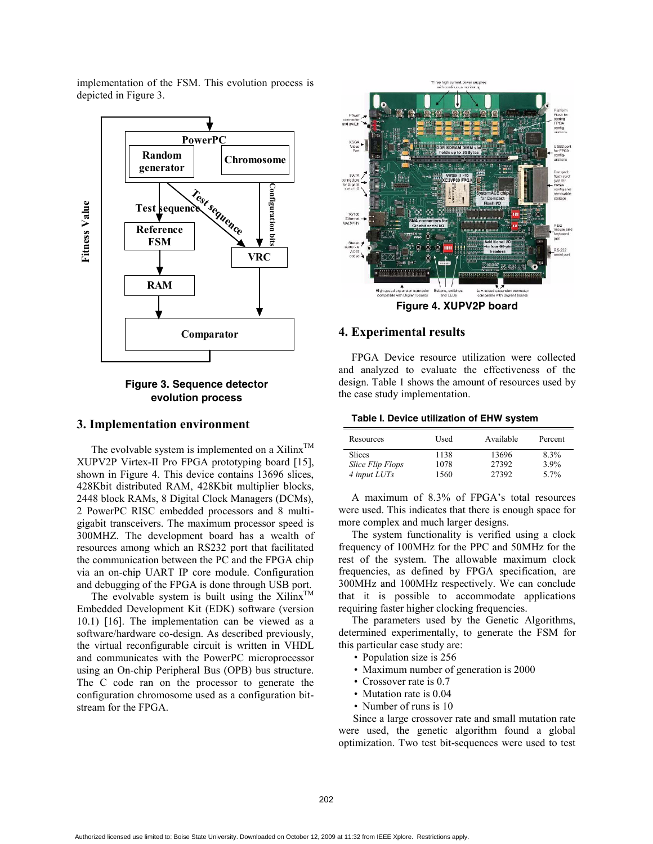implementation of the FSM. This evolution process is depicted in Figure 3.



#### **Figure 3. Sequence detector evolution process**

#### **3. Implementation environment**

The evolvable system is implemented on a Xilinx<sup>TM</sup> XUPV2P Virtex-II Pro FPGA prototyping board [15], shown in Figure 4. This device contains 13696 slices, 428Kbit distributed RAM, 428Kbit multiplier blocks, 2448 block RAMs, 8 Digital Clock Managers (DCMs), 2 PowerPC RISC embedded processors and 8 multigigabit transceivers. The maximum processor speed is 300MHZ. The development board has a wealth of resources among which an RS232 port that facilitated the communication between the PC and the FPGA chip via an on-chip UART IP core module. Configuration and debugging of the FPGA is done through USB port.

The evolvable system is built using the Xilinx<sup>TM</sup> Embedded Development Kit (EDK) software (version 10.1) [16]. The implementation can be viewed as a software/hardware co-design. As described previously, the virtual reconfigurable circuit is written in VHDL and communicates with the PowerPC microprocessor using an On-chip Peripheral Bus (OPB) bus structure. The C code ran on the processor to generate the configuration chromosome used as a configuration bitstream for the FPGA.



### **4. Experimental results**

FPGA Device resource utilization were collected and analyzed to evaluate the effectiveness of the design. Table 1 shows the amount of resources used by the case study implementation.

**Table I. Device utilization of EHW system** 

| Resources               | Used | Available | Percent |
|-------------------------|------|-----------|---------|
| <b>Slices</b>           | 1138 | 13696     | 8.3%    |
| <b>Slice Flip Flops</b> | 1078 | 27392     | 3.9%    |
| 4 input LUTs            | 1560 | 27392     | $5.7\%$ |

A maximum of 8.3% of FPGA's total resources were used. This indicates that there is enough space for more complex and much larger designs.

The system functionality is verified using a clock frequency of 100MHz for the PPC and 50MHz for the rest of the system. The allowable maximum clock frequencies, as defined by FPGA specification, are 300MHz and 100MHz respectively. We can conclude that it is possible to accommodate applications requiring faster higher clocking frequencies.

The parameters used by the Genetic Algorithms, determined experimentally, to generate the FSM for this particular case study are:

- Population size is 256
- Maximum number of generation is 2000
- Crossover rate is 0.7
- Mutation rate is 0.04
- Number of runs is 10

Since a large crossover rate and small mutation rate were used, the genetic algorithm found a global optimization. Two test bit-sequences were used to test